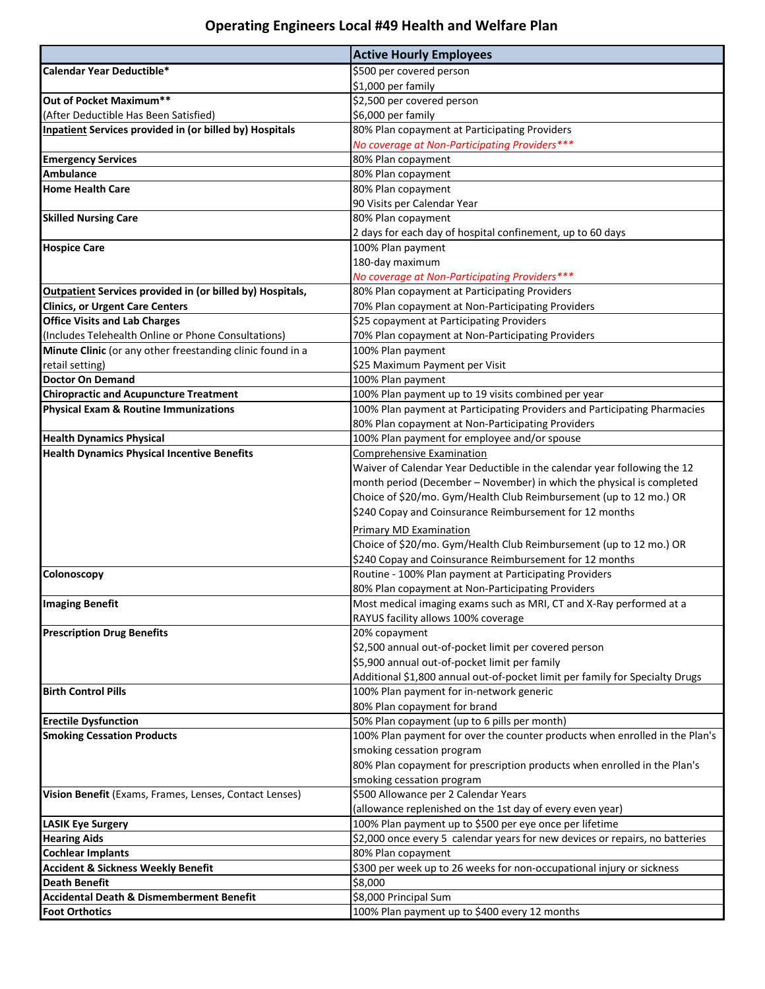## **Operating Engineers Local #49 Health and Welfare Plan**

|                                                                  | <b>Active Hourly Employees</b>                                               |
|------------------------------------------------------------------|------------------------------------------------------------------------------|
| Calendar Year Deductible*                                        | \$500 per covered person                                                     |
|                                                                  | \$1,000 per family                                                           |
| Out of Pocket Maximum**                                          | \$2,500 per covered person                                                   |
| (After Deductible Has Been Satisfied)                            | \$6,000 per family                                                           |
| <b>Inpatient Services provided in (or billed by) Hospitals</b>   | 80% Plan copayment at Participating Providers                                |
|                                                                  | No coverage at Non-Participating Providers***                                |
| <b>Emergency Services</b>                                        | 80% Plan copayment                                                           |
| <b>Ambulance</b>                                                 | 80% Plan copayment                                                           |
| <b>Home Health Care</b>                                          | 80% Plan copayment                                                           |
|                                                                  | 90 Visits per Calendar Year                                                  |
| <b>Skilled Nursing Care</b>                                      | 80% Plan copayment                                                           |
|                                                                  | 2 days for each day of hospital confinement, up to 60 days                   |
| <b>Hospice Care</b>                                              | 100% Plan payment                                                            |
|                                                                  | 180-day maximum                                                              |
|                                                                  | No coverage at Non-Participating Providers***                                |
| <b>Outpatient Services provided in (or billed by) Hospitals,</b> | 80% Plan copayment at Participating Providers                                |
| <b>Clinics, or Urgent Care Centers</b>                           | 70% Plan copayment at Non-Participating Providers                            |
| <b>Office Visits and Lab Charges</b>                             | \$25 copayment at Participating Providers                                    |
| (Includes Telehealth Online or Phone Consultations)              | 70% Plan copayment at Non-Participating Providers                            |
| Minute Clinic (or any other freestanding clinic found in a       | 100% Plan payment                                                            |
| retail setting)                                                  | \$25 Maximum Payment per Visit                                               |
| <b>Doctor On Demand</b>                                          | 100% Plan payment                                                            |
| <b>Chiropractic and Acupuncture Treatment</b>                    | 100% Plan payment up to 19 visits combined per year                          |
| <b>Physical Exam &amp; Routine Immunizations</b>                 | 100% Plan payment at Participating Providers and Participating Pharmacies    |
|                                                                  | 80% Plan copayment at Non-Participating Providers                            |
| <b>Health Dynamics Physical</b>                                  | 100% Plan payment for employee and/or spouse                                 |
| <b>Health Dynamics Physical Incentive Benefits</b>               | <b>Comprehensive Examination</b>                                             |
|                                                                  | Waiver of Calendar Year Deductible in the calendar year following the 12     |
|                                                                  | month period (December - November) in which the physical is completed        |
|                                                                  | Choice of \$20/mo. Gym/Health Club Reimbursement (up to 12 mo.) OR           |
|                                                                  | \$240 Copay and Coinsurance Reimbursement for 12 months                      |
|                                                                  | Primary MD Examination                                                       |
|                                                                  | Choice of \$20/mo. Gym/Health Club Reimbursement (up to 12 mo.) OR           |
|                                                                  | \$240 Copay and Coinsurance Reimbursement for 12 months                      |
| Colonoscopy                                                      | Routine - 100% Plan payment at Participating Providers                       |
|                                                                  | 80% Plan copayment at Non-Participating Providers                            |
| <b>Imaging Benefit</b>                                           | Most medical imaging exams such as MRI, CT and X-Ray performed at a          |
|                                                                  | RAYUS facility allows 100% coverage                                          |
| <b>Prescription Drug Benefits</b>                                | 20% copayment                                                                |
|                                                                  | \$2,500 annual out-of-pocket limit per covered person                        |
|                                                                  | \$5,900 annual out-of-pocket limit per family                                |
|                                                                  | Additional \$1,800 annual out-of-pocket limit per family for Specialty Drugs |
| <b>Birth Control Pills</b>                                       | 100% Plan payment for in-network generic                                     |
|                                                                  | 80% Plan copayment for brand                                                 |
| <b>Erectile Dysfunction</b>                                      | 50% Plan copayment (up to 6 pills per month)                                 |
| <b>Smoking Cessation Products</b>                                | 100% Plan payment for over the counter products when enrolled in the Plan's  |
|                                                                  | smoking cessation program                                                    |
|                                                                  | 80% Plan copayment for prescription products when enrolled in the Plan's     |
|                                                                  | smoking cessation program                                                    |
| Vision Benefit (Exams, Frames, Lenses, Contact Lenses)           | \$500 Allowance per 2 Calendar Years                                         |
|                                                                  | (allowance replenished on the 1st day of every even year)                    |
| <b>LASIK Eye Surgery</b>                                         | 100% Plan payment up to \$500 per eye once per lifetime                      |
| <b>Hearing Aids</b>                                              | \$2,000 once every 5 calendar years for new devices or repairs, no batteries |
| <b>Cochlear Implants</b>                                         | 80% Plan copayment                                                           |
| <b>Accident &amp; Sickness Weekly Benefit</b>                    | \$300 per week up to 26 weeks for non-occupational injury or sickness        |
| <b>Death Benefit</b>                                             | \$8,000                                                                      |
| <b>Accidental Death &amp; Dismemberment Benefit</b>              | \$8,000 Principal Sum                                                        |
| <b>Foot Orthotics</b>                                            | 100% Plan payment up to \$400 every 12 months                                |
|                                                                  |                                                                              |